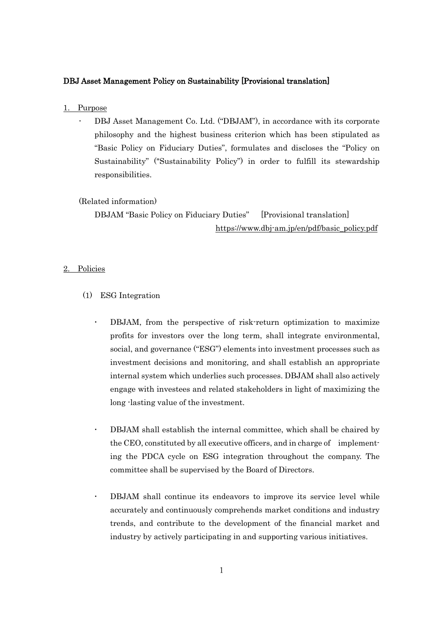## DBJ Asset Management Policy on Sustainability [Provisional translation]

- 1. Purpose
	- DBJ Asset Management Co. Ltd. ("DBJAM"), in accordance with its corporate philosophy and the highest business criterion which has been stipulated as "Basic Policy on Fiduciary Duties", formulates and discloses the "Policy on Sustainability" ("Sustainability Policy") in order to fulfill its stewardship responsibilities.

## (Related information)

DBJAM "Basic Policy on Fiduciary Duties" [Provisional translation] [https://www.dbj-am.jp/en/pdf/basic\\_policy.pdf](https://www.dbj-am.jp/en/pdf/basic_policy.pdf)

## 2. Policies

- (1) ESG Integration
	- DBJAM, from the perspective of risk-return optimization to maximize profits for investors over the long term, shall integrate environmental, social, and governance ("ESG") elements into investment processes such as investment decisions and monitoring, and shall establish an appropriate internal system which underlies such processes. DBJAM shall also actively engage with investees and related stakeholders in light of maximizing the long -lasting value of the investment.
	- DBJAM shall establish the internal committee, which shall be chaired by the CEO, constituted by all executive officers, and in charge of implementing the PDCA cycle on ESG integration throughout the company. The committee shall be supervised by the Board of Directors.
	- DBJAM shall continue its endeavors to improve its service level while accurately and continuously comprehends market conditions and industry trends, and contribute to the development of the financial market and industry by actively participating in and supporting various initiatives.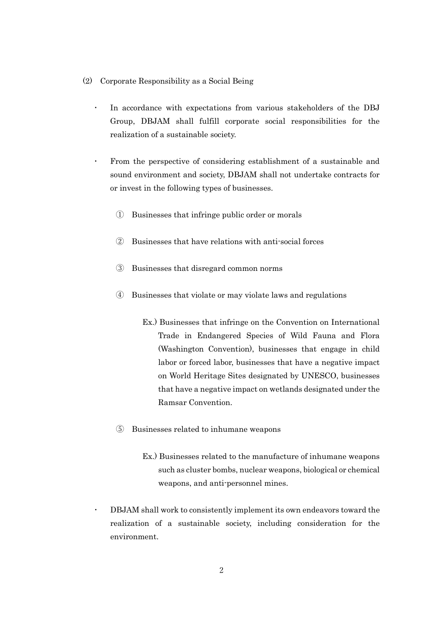- (2) Corporate Responsibility as a Social Being
	- In accordance with expectations from various stakeholders of the DBJ Group, DBJAM shall fulfill corporate social responsibilities for the realization of a sustainable society.
	- From the perspective of considering establishment of a sustainable and sound environment and society, DBJAM shall not undertake contracts for or invest in the following types of businesses.
		- ① Businesses that infringe public order or morals
		- ② Businesses that have relations with anti-social forces
		- ③ Businesses that disregard common norms
		- ④ Businesses that violate or may violate laws and regulations
			- Ex.) Businesses that infringe on the Convention on International Trade in Endangered Species of Wild Fauna and Flora (Washington Convention), businesses that engage in child labor or forced labor, businesses that have a negative impact on World Heritage Sites designated by UNESCO, businesses that have a negative impact on wetlands designated under the Ramsar Convention.
		- ⑤ Businesses related to inhumane weapons
			- Ex.) Businesses related to the manufacture of inhumane weapons such as cluster bombs, nuclear weapons, biological or chemical weapons, and anti-personnel mines.

 DBJAM shall work to consistently implement its own endeavors toward the realization of a sustainable society, including consideration for the environment.